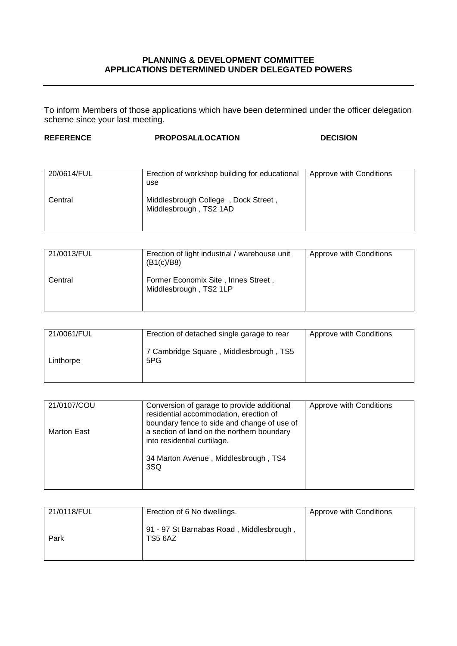## **PLANNING & DEVELOPMENT COMMITTEE APPLICATIONS DETERMINED UNDER DELEGATED POWERS**

To inform Members of those applications which have been determined under the officer delegation scheme since your last meeting.

## **REFERENCE PROPOSAL/LOCATION DECISION**

| 20/0614/FUL | Erection of workshop building for educational<br>use          | Approve with Conditions |
|-------------|---------------------------------------------------------------|-------------------------|
| Central     | Middlesbrough College, Dock Street,<br>Middlesbrough, TS2 1AD |                         |

| 21/0013/FUL | Erection of light industrial / warehouse unit<br>(B1(c)/B8)   | Approve with Conditions |
|-------------|---------------------------------------------------------------|-------------------------|
| Central     | Former Economix Site, Innes Street,<br>Middlesbrough, TS2 1LP |                         |

| 21/0061/FUL | Erection of detached single garage to rear    | Approve with Conditions |
|-------------|-----------------------------------------------|-------------------------|
| Linthorpe   | 7 Cambridge Square, Middlesbrough, TS5<br>5PG |                         |

| 21/0107/COU | Conversion of garage to provide additional<br>residential accommodation, erection of                                     | Approve with Conditions |
|-------------|--------------------------------------------------------------------------------------------------------------------------|-------------------------|
| Marton East | boundary fence to side and change of use of<br>a section of land on the northern boundary<br>into residential curtilage. |                         |
|             | 34 Marton Avenue, Middlesbrough, TS4<br>3SQ                                                                              |                         |

| 21/0118/FUL | Erection of 6 No dwellings.                         | Approve with Conditions |
|-------------|-----------------------------------------------------|-------------------------|
| Park        | 91 - 97 St Barnabas Road, Middlesbrough,<br>TS5 6AZ |                         |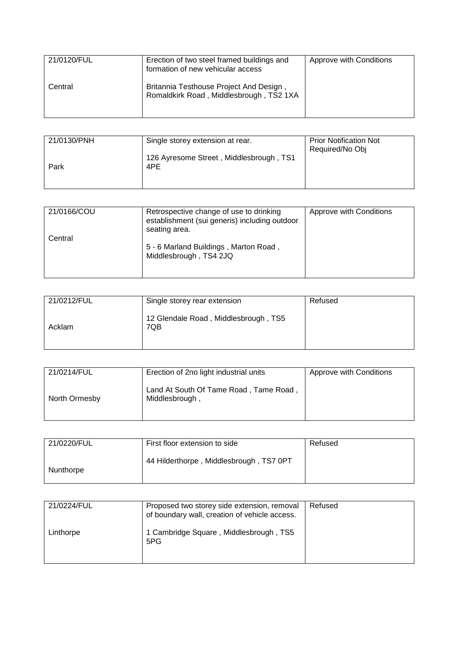| 21/0120/FUL | Erection of two steel framed buildings and<br>formation of new vehicular access    | Approve with Conditions |
|-------------|------------------------------------------------------------------------------------|-------------------------|
| Central     | Britannia Testhouse Project And Design,<br>Romaldkirk Road, Middlesbrough, TS2 1XA |                         |

| 21/0130/PNH | Single storey extension at rear.               | <b>Prior Notification Not</b><br>Required/No Obj |
|-------------|------------------------------------------------|--------------------------------------------------|
| Park        | 126 Ayresome Street, Middlesbrough, TS1<br>4PE |                                                  |

| 21/0166/COU | Retrospective change of use to drinking<br>establishment (sui generis) including outdoor<br>seating area. | Approve with Conditions |
|-------------|-----------------------------------------------------------------------------------------------------------|-------------------------|
| Central     | 5 - 6 Marland Buildings, Marton Road,<br>Middlesbrough, TS4 2JQ                                           |                         |

| 21/0212/FUL | Single storey rear extension                | Refused |
|-------------|---------------------------------------------|---------|
| Acklam      | 12 Glendale Road, Middlesbrough, TS5<br>7QB |         |

| 21/0214/FUL   | Erection of 2no light industrial units                   | Approve with Conditions |
|---------------|----------------------------------------------------------|-------------------------|
| North Ormesby | Land At South Of Tame Road, Tame Road,<br>Middlesbrough, |                         |

| 21/0220/FUL | First floor extension to side           | Refused |
|-------------|-----------------------------------------|---------|
| Nunthorpe   | 44 Hilderthorpe, Middlesbrough, TS7 0PT |         |

| 21/0224/FUL | Proposed two storey side extension, removal<br>of boundary wall, creation of vehicle access. | Refused |
|-------------|----------------------------------------------------------------------------------------------|---------|
| Linthorpe   | 1 Cambridge Square, Middlesbrough, TS5<br>5PG                                                |         |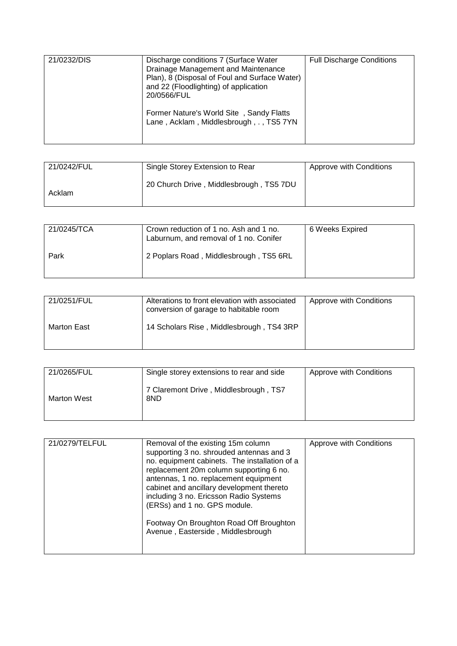| 21/0232/DIS | Discharge conditions 7 (Surface Water<br>Drainage Management and Maintenance<br>Plan), 8 (Disposal of Foul and Surface Water)<br>and 22 (Floodlighting) of application<br>20/0566/FUL | <b>Full Discharge Conditions</b> |
|-------------|---------------------------------------------------------------------------------------------------------------------------------------------------------------------------------------|----------------------------------|
|             | Former Nature's World Site, Sandy Flatts<br>Lane, Acklam, Middlesbrough, ., TS57YN                                                                                                    |                                  |

| 21/0242/FUL | Single Storey Extension to Rear         | Approve with Conditions |
|-------------|-----------------------------------------|-------------------------|
| Acklam      | 20 Church Drive, Middlesbrough, TS5 7DU |                         |

| 21/0245/TCA | Crown reduction of 1 no. Ash and 1 no.<br>Laburnum, and removal of 1 no. Conifer | 6 Weeks Expired |
|-------------|----------------------------------------------------------------------------------|-----------------|
| Park        | 2 Poplars Road, Middlesbrough, TS5 6RL                                           |                 |

| 21/0251/FUL | Alterations to front elevation with associated<br>conversion of garage to habitable room | Approve with Conditions |
|-------------|------------------------------------------------------------------------------------------|-------------------------|
| Marton East | 14 Scholars Rise, Middlesbrough, TS4 3RP                                                 |                         |

| 21/0265/FUL | Single storey extensions to rear and side    | Approve with Conditions |
|-------------|----------------------------------------------|-------------------------|
| Marton West | 7 Claremont Drive, Middlesbrough, TS7<br>8ND |                         |

| 21/0279/TELFUL | Removal of the existing 15m column<br>supporting 3 no. shrouded antennas and 3<br>no. equipment cabinets. The installation of a<br>replacement 20m column supporting 6 no.<br>antennas, 1 no. replacement equipment<br>cabinet and ancillary development thereto<br>including 3 no. Ericsson Radio Systems<br>(ERSs) and 1 no. GPS module.<br>Footway On Broughton Road Off Broughton<br>Avenue, Easterside, Middlesbrough | Approve with Conditions |
|----------------|----------------------------------------------------------------------------------------------------------------------------------------------------------------------------------------------------------------------------------------------------------------------------------------------------------------------------------------------------------------------------------------------------------------------------|-------------------------|
|----------------|----------------------------------------------------------------------------------------------------------------------------------------------------------------------------------------------------------------------------------------------------------------------------------------------------------------------------------------------------------------------------------------------------------------------------|-------------------------|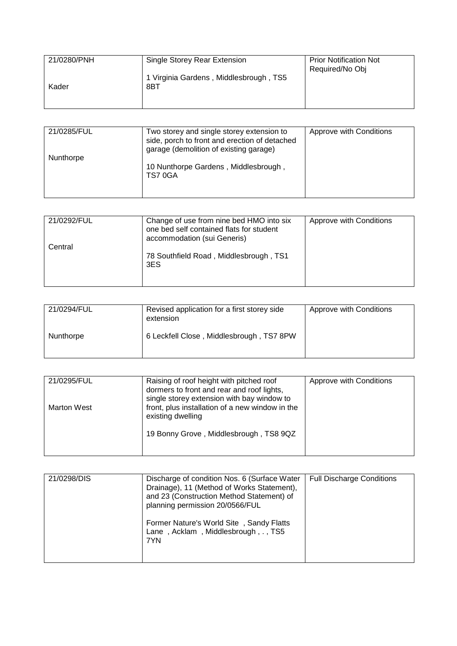| 21/0280/PNH | Single Storey Rear Extension                  | <b>Prior Notification Not</b><br>Required/No Obj |
|-------------|-----------------------------------------------|--------------------------------------------------|
| Kader       | 1 Virginia Gardens, Middlesbrough, TS5<br>8BT |                                                  |
|             |                                               |                                                  |

| 21/0285/FUL | Two storey and single storey extension to<br>side, porch to front and erection of detached<br>garage (demolition of existing garage) | Approve with Conditions |
|-------------|--------------------------------------------------------------------------------------------------------------------------------------|-------------------------|
| Nunthorpe   | 10 Nunthorpe Gardens, Middlesbrough,<br>TS70GA                                                                                       |                         |

| 21/0292/FUL | Change of use from nine bed HMO into six<br>one bed self contained flats for student<br>accommodation (sui Generis) | Approve with Conditions |
|-------------|---------------------------------------------------------------------------------------------------------------------|-------------------------|
| Central     |                                                                                                                     |                         |
|             | 78 Southfield Road, Middlesbrough, TS1<br>3ES                                                                       |                         |

| 21/0294/FUL | Revised application for a first storey side<br>extension | Approve with Conditions |
|-------------|----------------------------------------------------------|-------------------------|
| Nunthorpe   | 6 Leckfell Close, Middlesbrough, TS7 8PW                 |                         |

| 21/0295/FUL        | Raising of roof height with pitched roof<br>dormers to front and rear and roof lights,                             | Approve with Conditions |
|--------------------|--------------------------------------------------------------------------------------------------------------------|-------------------------|
| <b>Marton West</b> | single storey extension with bay window to<br>front, plus installation of a new window in the<br>existing dwelling |                         |
|                    | 19 Bonny Grove, Middlesbrough, TS8 9QZ                                                                             |                         |
|                    |                                                                                                                    |                         |

| 21/0298/DIS | Discharge of condition Nos. 6 (Surface Water<br>Drainage), 11 (Method of Works Statement),<br>and 23 (Construction Method Statement) of | <b>Full Discharge Conditions</b> |
|-------------|-----------------------------------------------------------------------------------------------------------------------------------------|----------------------------------|
|             | planning permission 20/0566/FUL<br>Former Nature's World Site, Sandy Flatts<br>Lane, Acklam, Middlesbrough, ., TS5<br>7YN               |                                  |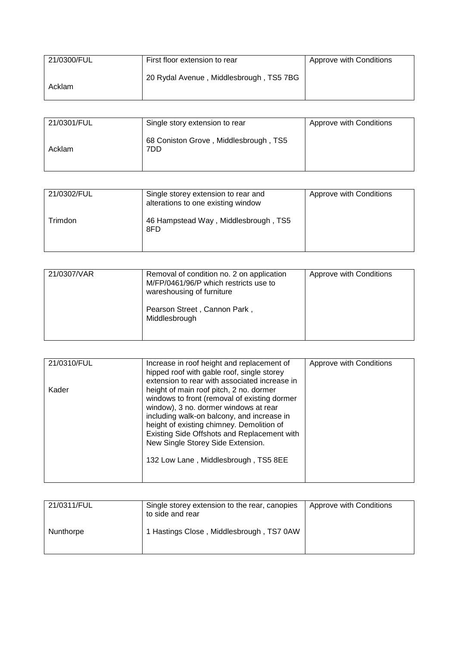| 21/0300/FUL | First floor extension to rear           | Approve with Conditions |
|-------------|-----------------------------------------|-------------------------|
| Acklam      | 20 Rydal Avenue, Middlesbrough, TS5 7BG |                         |

| 21/0301/FUL | Single story extension to rear               | Approve with Conditions |
|-------------|----------------------------------------------|-------------------------|
| Acklam      | 68 Coniston Grove, Middlesbrough, TS5<br>7DD |                         |

| 21/0302/FUL | Single storey extension to rear and<br>alterations to one existing window | Approve with Conditions |
|-------------|---------------------------------------------------------------------------|-------------------------|
| Trimdon     | 46 Hampstead Way, Middlesbrough, TS5<br>8FD                               |                         |

| 21/0307/VAR | Removal of condition no. 2 on application<br>M/FP/0461/96/P which restricts use to<br>wareshousing of furniture | Approve with Conditions |
|-------------|-----------------------------------------------------------------------------------------------------------------|-------------------------|
|             | Pearson Street, Cannon Park,<br>Middlesbrough                                                                   |                         |

| 21/0310/FUL | Increase in roof height and replacement of    | Approve with Conditions |
|-------------|-----------------------------------------------|-------------------------|
|             | hipped roof with gable roof, single storey    |                         |
|             |                                               |                         |
|             | extension to rear with associated increase in |                         |
| Kader       | height of main roof pitch, 2 no. dormer       |                         |
|             | windows to front (removal of existing dormer  |                         |
|             |                                               |                         |
|             | window), 3 no. dormer windows at rear         |                         |
|             | including walk-on balcony, and increase in    |                         |
|             | height of existing chimney. Demolition of     |                         |
|             |                                               |                         |
|             | Existing Side Offshots and Replacement with   |                         |
|             | New Single Storey Side Extension.             |                         |
|             |                                               |                         |
|             |                                               |                         |
|             | 132 Low Lane, Middlesbrough, TS5 8EE          |                         |
|             |                                               |                         |
|             |                                               |                         |
|             |                                               |                         |

| 21/0311/FUL | Single storey extension to the rear, canopies<br>to side and rear | Approve with Conditions |
|-------------|-------------------------------------------------------------------|-------------------------|
| Nunthorpe   | 1 Hastings Close, Middlesbrough, TS7 0AW                          |                         |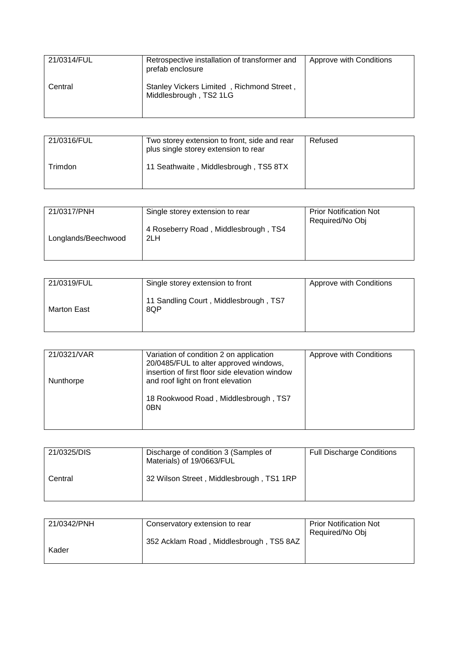| 21/0314/FUL | Retrospective installation of transformer and<br>prefab enclosure   | Approve with Conditions |
|-------------|---------------------------------------------------------------------|-------------------------|
| Central     | Stanley Vickers Limited, Richmond Street,<br>Middlesbrough, TS2 1LG |                         |

| 21/0316/FUL | Two storey extension to front, side and rear<br>plus single storey extension to rear | Refused |
|-------------|--------------------------------------------------------------------------------------|---------|
| Trimdon     | 11 Seathwaite, Middlesbrough, TS5 8TX                                                |         |

| 21/0317/PNH         | Single storey extension to rear             | <b>Prior Notification Not</b><br>Required/No Obj |
|---------------------|---------------------------------------------|--------------------------------------------------|
| Longlands/Beechwood | 4 Roseberry Road, Middlesbrough, TS4<br>2LH |                                                  |

| 21/0319/FUL | Single storey extension to front             | Approve with Conditions |
|-------------|----------------------------------------------|-------------------------|
| Marton East | 11 Sandling Court, Middlesbrough, TS7<br>8QP |                         |

| 21/0321/VAR | Variation of condition 2 on application<br>20/0485/FUL to alter approved windows,<br>insertion of first floor side elevation window | Approve with Conditions |
|-------------|-------------------------------------------------------------------------------------------------------------------------------------|-------------------------|
| Nunthorpe   | and roof light on front elevation<br>18 Rookwood Road, Middlesbrough, TS7                                                           |                         |
|             | 0 <sub>BN</sub>                                                                                                                     |                         |

| 21/0325/DIS | Discharge of condition 3 (Samples of<br>Materials) of 19/0663/FUL | <b>Full Discharge Conditions</b> |
|-------------|-------------------------------------------------------------------|----------------------------------|
| Central     | 32 Wilson Street, Middlesbrough, TS1 1RP                          |                                  |

| 21/0342/PNH | Conservatory extension to rear          | <b>Prior Notification Not</b> |
|-------------|-----------------------------------------|-------------------------------|
|             |                                         | Required/No Obj               |
|             | 352 Acklam Road, Middlesbrough, TS5 8AZ |                               |
| Kader       |                                         |                               |
|             |                                         |                               |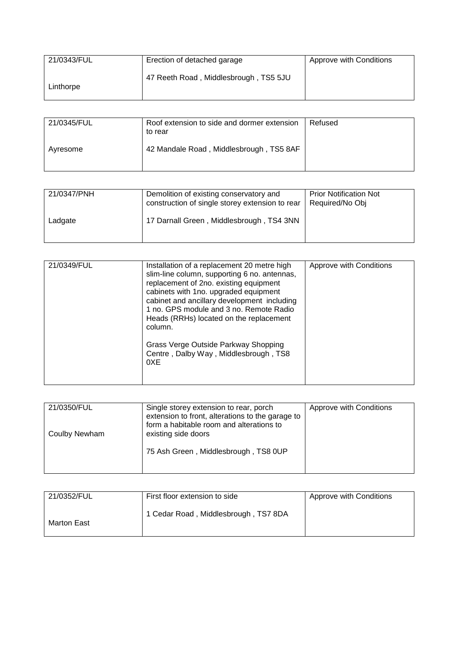| 21/0343/FUL | Erection of detached garage           | Approve with Conditions |
|-------------|---------------------------------------|-------------------------|
| Linthorpe   | 47 Reeth Road, Middlesbrough, TS5 5JU |                         |

| 21/0345/FUL | Roof extension to side and dormer extension<br>to rear | Refused |
|-------------|--------------------------------------------------------|---------|
| Avresome    | 42 Mandale Road, Middlesbrough, TS5 8AF                |         |

| 21/0347/PNH | Demolition of existing conservatory and<br>construction of single storey extension to rear | <b>Prior Notification Not</b><br>Required/No Obj |
|-------------|--------------------------------------------------------------------------------------------|--------------------------------------------------|
| Ladgate     | 17 Darnall Green, Middlesbrough, TS4 3NN                                                   |                                                  |

| 21/0349/FUL | Installation of a replacement 20 metre high<br>slim-line column, supporting 6 no. antennas,<br>replacement of 2no. existing equipment<br>cabinets with 1no. upgraded equipment<br>cabinet and ancillary development including<br>1 no. GPS module and 3 no. Remote Radio<br>Heads (RRHs) located on the replacement<br>column.<br>Grass Verge Outside Parkway Shopping<br>Centre, Dalby Way, Middlesbrough, TS8<br>0XE | Approve with Conditions |
|-------------|------------------------------------------------------------------------------------------------------------------------------------------------------------------------------------------------------------------------------------------------------------------------------------------------------------------------------------------------------------------------------------------------------------------------|-------------------------|
|-------------|------------------------------------------------------------------------------------------------------------------------------------------------------------------------------------------------------------------------------------------------------------------------------------------------------------------------------------------------------------------------------------------------------------------------|-------------------------|

| 21/0350/FUL   | Single storey extension to rear, porch<br>extension to front, alterations to the garage to<br>form a habitable room and alterations to | Approve with Conditions |
|---------------|----------------------------------------------------------------------------------------------------------------------------------------|-------------------------|
| Coulby Newham | existing side doors                                                                                                                    |                         |
|               | 75 Ash Green, Middlesbrough, TS8 0UP                                                                                                   |                         |

| 21/0352/FUL | First floor extension to side        | Approve with Conditions |
|-------------|--------------------------------------|-------------------------|
| Marton East | 1 Cedar Road, Middlesbrough, TS7 8DA |                         |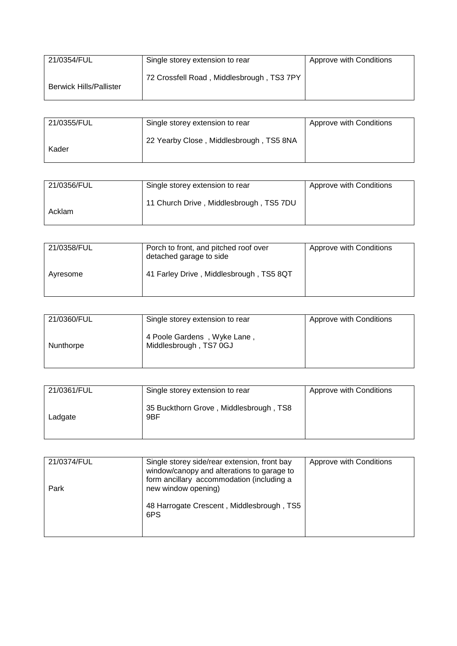| 21/0354/FUL                    | Single storey extension to rear           | Approve with Conditions |
|--------------------------------|-------------------------------------------|-------------------------|
| <b>Berwick Hills/Pallister</b> | 72 Crossfell Road, Middlesbrough, TS3 7PY |                         |

| 21/0355/FUL | Single storey extension to rear         | Approve with Conditions |
|-------------|-----------------------------------------|-------------------------|
| Kader       | 22 Yearby Close, Middlesbrough, TS5 8NA |                         |

| 21/0356/FUL | Single storey extension to rear         | Approve with Conditions |
|-------------|-----------------------------------------|-------------------------|
| Acklam      | 11 Church Drive, Middlesbrough, TS5 7DU |                         |

| 21/0358/FUL | Porch to front, and pitched roof over<br>detached garage to side | Approve with Conditions |
|-------------|------------------------------------------------------------------|-------------------------|
| Ayresome    | 41 Farley Drive, Middlesbrough, TS5 8QT                          |                         |

| 21/0360/FUL | Single storey extension to rear                       | Approve with Conditions |
|-------------|-------------------------------------------------------|-------------------------|
| Nunthorpe   | 4 Poole Gardens, Wyke Lane,<br>Middlesbrough, TS7 0GJ |                         |

| 21/0361/FUL | Single storey extension to rear               | Approve with Conditions |
|-------------|-----------------------------------------------|-------------------------|
| Ladgate     | 35 Buckthorn Grove, Middlesbrough, TS8<br>9BF |                         |

| 21/0374/FUL | Single storey side/rear extension, front bay<br>window/canopy and alterations to garage to<br>form ancillary accommodation (including a | Approve with Conditions |
|-------------|-----------------------------------------------------------------------------------------------------------------------------------------|-------------------------|
| Park        | new window opening)<br>48 Harrogate Crescent, Middlesbrough, TS5                                                                        |                         |
|             | 6PS                                                                                                                                     |                         |